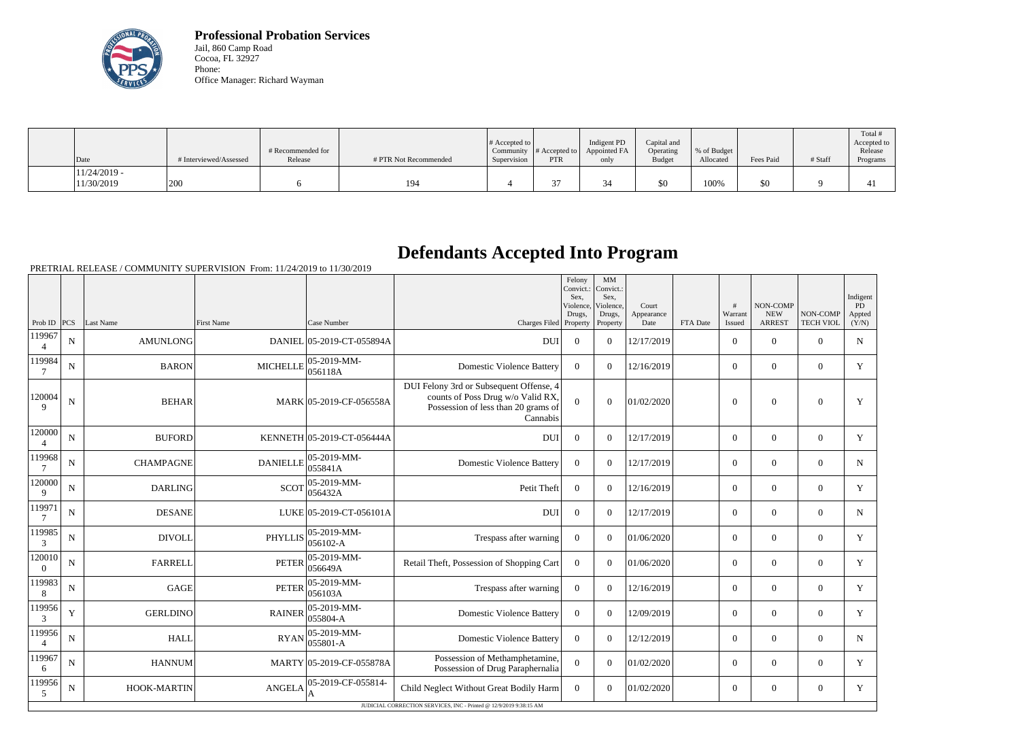

**Professional Probation Services** Jail, 860 Camp Road Cocoa, FL 32927 Phone: Office Manager: Richard Wayman

| Date                         | # Interviewed/Assessed | # Recommended for<br>Release | # PTR Not Recommended | $\#$ Accepted to $\parallel$<br>Supervision | Community $ #$ Accepted to $ $<br><b>PTR</b> | Indigent PD<br>Appointed FA<br>only | Capital and<br>Operating<br><b>Budget</b> | % of Budget<br>Allocated | Fees Paid | # Staff | Total #<br>Accepted to<br>Release<br>Programs |
|------------------------------|------------------------|------------------------------|-----------------------|---------------------------------------------|----------------------------------------------|-------------------------------------|-------------------------------------------|--------------------------|-----------|---------|-----------------------------------------------|
| $11/24/2019$ -<br>11/30/2019 | 200                    |                              | 194                   |                                             |                                              |                                     | \$0                                       | 100%                     | \$0       |         | $\overline{ }$                                |

## **Defendants Accepted Into Program**

PRETRIAL RELEASE / COMMUNITY SUPERVISION From: 11/24/2019 to 11/30/2019

|                          |             |                           |                   |                                 |                                                                                                                                 | Felony<br>Convict.<br>Sex.<br>Violence, | $\mathbf{M}\mathbf{M}$<br>Convict.:<br>Sex,<br>Violence, | Court              |          | #                 | <b>NON-COMP</b>             |                              | Indigent<br><b>PD</b> |
|--------------------------|-------------|---------------------------|-------------------|---------------------------------|---------------------------------------------------------------------------------------------------------------------------------|-----------------------------------------|----------------------------------------------------------|--------------------|----------|-------------------|-----------------------------|------------------------------|-----------------------|
|                          |             | Prob ID   PCS   Last Name | <b>First Name</b> | Case Number                     | Charges Filed Property   Property                                                                                               | Drugs.                                  | Drugs,                                                   | Appearance<br>Date | FTA Date | Warrant<br>Issued | <b>NEW</b><br><b>ARREST</b> | NON-COMP<br><b>TECH VIOL</b> | Appted<br>(Y/N)       |
| 119967                   | $\mathbf N$ | AMUNLONG                  |                   | DANIEL 05-2019-CT-055894A       | <b>DUI</b>                                                                                                                      | $\theta$                                | $\Omega$                                                 | 12/17/2019         |          | $\overline{0}$    | $\theta$                    | $\overline{0}$               | N                     |
| 119984                   | $\mathbf N$ | <b>BARON</b>              | <b>MICHELLE</b>   | $ 05-2019-MM -$<br> 056118A     | <b>Domestic Violence Battery</b>                                                                                                | $\theta$                                | $\Omega$                                                 | 12/16/2019         |          | $\overline{0}$    | $\mathbf{0}$                | $\overline{0}$               | Y                     |
| 120004<br>9              | ${\bf N}$   | <b>BEHAR</b>              |                   | MARK 05-2019-CF-056558A         | DUI Felony 3rd or Subsequent Offense, 4<br>counts of Poss Drug w/o Valid RX,<br>Possession of less than 20 grams of<br>Cannabis | $\Omega$                                | $\overline{0}$                                           | 01/02/2020         |          | $\overline{0}$    | $\overline{0}$              | $\overline{0}$               | Y                     |
| 120000                   | ${\bf N}$   | <b>BUFORD</b>             |                   | KENNETH 05-2019-CT-056444A      | <b>DUI</b>                                                                                                                      | $\overline{0}$                          | $\overline{0}$                                           | 12/17/2019         |          | $\overline{0}$    | $\mathbf{0}$                | $\overline{0}$               | Y                     |
| 119968<br>$\overline{7}$ | N           | <b>CHAMPAGNE</b>          | <b>DANIELLE</b>   | $ 05 - 2019 - MM -$<br> 055841A | <b>Domestic Violence Battery</b>                                                                                                | $\boldsymbol{0}$                        | $\Omega$                                                 | 12/17/2019         |          | $\overline{0}$    | $\theta$                    | $\overline{0}$               | $\mathbf N$           |
| 120000<br>9              | N           | <b>DARLING</b>            | <b>SCOT</b>       | $ 05-2019-MM -$<br>056432A      | Petit Theft                                                                                                                     | $\theta$                                | $\Omega$                                                 | 12/16/2019         |          | $\overline{0}$    | $\overline{0}$              | $\overline{0}$               | Y                     |
| 119971                   | N           | <b>DESANE</b>             |                   | LUKE 05-2019-CT-056101A         | <b>DUI</b>                                                                                                                      | $\mathbf{0}$                            | $\Omega$                                                 | 12/17/2019         |          | $\overline{0}$    | $\mathbf{0}$                | $\overline{0}$               | N                     |
| 119985<br>3              | $\mathbf N$ | <b>DIVOLL</b>             | <b>PHYLLIS</b>    | 05-2019-MM-<br>056102-A         | Trespass after warning                                                                                                          | $\overline{0}$                          | $\overline{0}$                                           | 01/06/2020         |          | $\overline{0}$    | $\mathbf{0}$                | $\overline{0}$               | Y                     |
| 120010<br>$\theta$       | $\mathbf N$ | <b>FARRELL</b>            | <b>PETER</b>      | $ 05 - 2019 - MM -$<br>056649A  | Retail Theft, Possession of Shopping Cart                                                                                       | $\boldsymbol{0}$                        | $\overline{0}$                                           | 01/06/2020         |          | $\overline{0}$    | $\theta$                    | $\overline{0}$               | Y                     |
| 119983<br>8              | $\mathbf N$ | <b>GAGE</b>               | <b>PETER</b>      | $ 05-2019-MM-$<br>056103A       | Trespass after warning                                                                                                          | $\boldsymbol{0}$                        | $\Omega$                                                 | 12/16/2019         |          | $\overline{0}$    | $\mathbf{0}$                | $\overline{0}$               | Y                     |
| 119956<br>3              | Y           | <b>GERLDINO</b>           | <b>RAINER</b>     | 05-2019-MM-<br>055804-A         | <b>Domestic Violence Battery</b>                                                                                                | $\overline{0}$                          | $\overline{0}$                                           | 12/09/2019         |          | $\overline{0}$    | $\mathbf{0}$                | $\overline{0}$               | Y                     |
| 119956<br>$\overline{4}$ | $\mathbf N$ | <b>HALL</b>               | <b>RYAN</b>       | 05-2019-MM-<br>055801-A         | <b>Domestic Violence Battery</b>                                                                                                | $\theta$                                | $\Omega$                                                 | 12/12/2019         |          | $\overline{0}$    | $\theta$                    | $\Omega$                     | $\mathbf N$           |
| 119967<br>6              | N           | <b>HANNUM</b>             |                   | MARTY 05-2019-CF-055878A        | Possession of Methamphetamine,<br>Possession of Drug Paraphernalia                                                              | $\mathbf{0}$                            | $\Omega$                                                 | 01/02/2020         |          | $\overline{0}$    | $\theta$                    | $\overline{0}$               | Y                     |
| 119956<br>5              | N           | HOOK-MARTIN               | <b>ANGELA</b>     | 05-2019-CF-055814-              | Child Neglect Without Great Bodily Harm                                                                                         | $\theta$                                | $\Omega$                                                 | 01/02/2020         |          | $\overline{0}$    | $\mathbf{0}$                | $\theta$                     | Y                     |
|                          |             |                           |                   |                                 | JUDICIAL CORRECTION SERVICES, INC - Printed @ 12/9/2019 9:38:15 AM                                                              |                                         |                                                          |                    |          |                   |                             |                              |                       |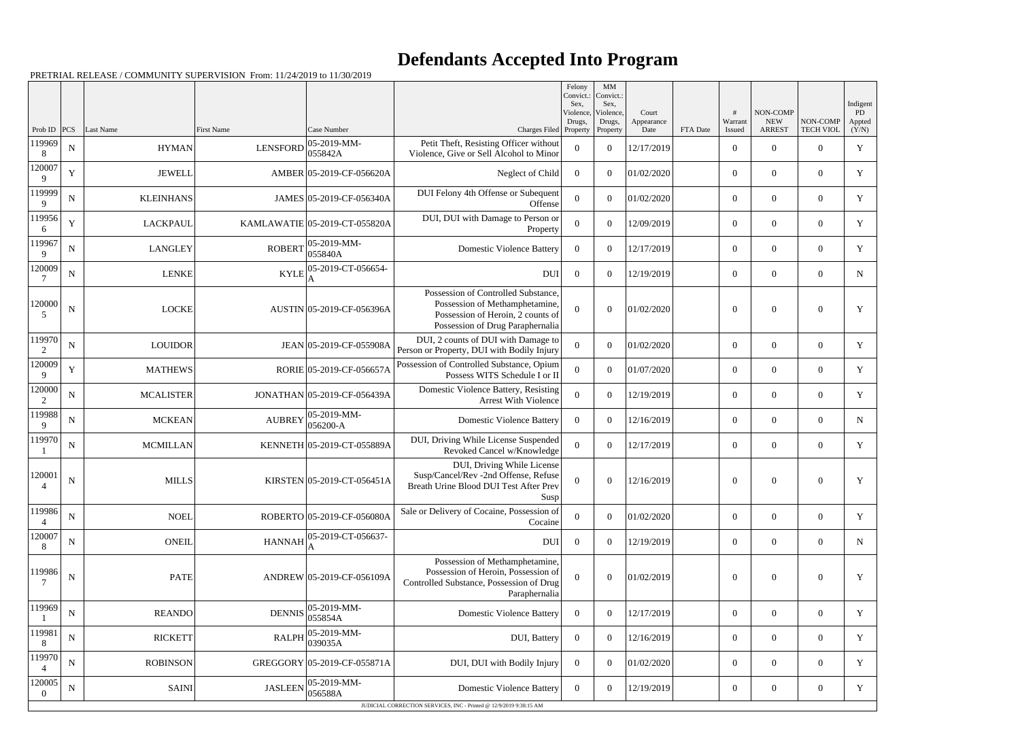## **Defendants Accepted Into Program**

PRETRIAL RELEASE / COMMUNITY SUPERVISION From: 11/24/2019 to 11/30/2019

|                          |             |                  |                   |                               |                                                                                                                                                | Felony<br>Convict.:<br>Sex. | MM<br>Convict.:<br>Sex,         |                             |          |                        |                                         |                              | Indigent               |
|--------------------------|-------------|------------------|-------------------|-------------------------------|------------------------------------------------------------------------------------------------------------------------------------------------|-----------------------------|---------------------------------|-----------------------------|----------|------------------------|-----------------------------------------|------------------------------|------------------------|
| Prob ID                  | PCS         | Last Name        | <b>First Name</b> | Case Number                   | Charges Filed Property                                                                                                                         | Violence,<br>Drugs,         | Violence,<br>Drugs,<br>Property | Court<br>Appearance<br>Date | FTA Date | #<br>Warrant<br>Issued | NON-COMP<br><b>NEW</b><br><b>ARREST</b> | NON-COMP<br><b>TECH VIOL</b> | PD.<br>Appted<br>(Y/N) |
| 119969<br>8              | N           | <b>HYMAN</b>     | <b>LENSFORD</b>   | 05-2019-MM-<br>055842A        | Petit Theft, Resisting Officer without<br>Violence, Give or Sell Alcohol to Minor                                                              | $\theta$                    | $\theta$                        | 12/17/2019                  |          | $\boldsymbol{0}$       | $\Omega$                                | $\Omega$                     | Y                      |
| 120007<br>Q              | Y           | <b>JEWELL</b>    |                   | AMBER 05-2019-CF-056620A      | Neglect of Child                                                                                                                               | $\overline{0}$              | $\Omega$                        | 01/02/2020                  |          | $\mathbf{0}$           | $\overline{0}$                          | $\Omega$                     | Y                      |
| 119999<br>9              | $\mathbf N$ | <b>KLEINHANS</b> |                   | JAMES 05-2019-CF-056340A      | DUI Felony 4th Offense or Subequent<br>Offense                                                                                                 | $\Omega$                    | $\Omega$                        | 01/02/2020                  |          | $\overline{0}$         | $\Omega$                                | $\Omega$                     | Y                      |
| 119956<br>6              | Y           | <b>LACKPAUL</b>  |                   | KAMLAWATIE 05-2019-CT-055820A | DUI, DUI with Damage to Person or<br>Property                                                                                                  | $\overline{0}$              | $\Omega$                        | 12/09/2019                  |          | $\overline{0}$         | $\overline{0}$                          | $\Omega$                     | Y                      |
| 119967<br>9              | ${\bf N}$   | <b>LANGLEY</b>   | <b>ROBERT</b>     | 05-2019-MM-<br>055840A        | <b>Domestic Violence Battery</b>                                                                                                               | $\overline{0}$              | $\theta$                        | 12/17/2019                  |          | $\mathbf{0}$           | $\Omega$                                | $\Omega$                     | Y                      |
| 120009                   | N           | <b>LENKE</b>     | <b>KYLE</b>       | 05-2019-CT-056654-            | <b>DUI</b>                                                                                                                                     | $\overline{0}$              | $\theta$                        | 12/19/2019                  |          | $\overline{0}$         | $\overline{0}$                          | $\Omega$                     | N                      |
| 120000<br>5              | ${\bf N}$   | <b>LOCKE</b>     |                   | AUSTIN 05-2019-CF-056396A     | Possession of Controlled Substance,<br>Possession of Methamphetamine,<br>Possession of Heroin, 2 counts of<br>Possession of Drug Paraphernalia | $\theta$                    | $\Omega$                        | 01/02/2020                  |          | $\overline{0}$         | $\Omega$                                | $\theta$                     | Y                      |
| 119970<br>$\overline{c}$ | N           | <b>LOUIDOR</b>   |                   | JEAN 05-2019-CF-055908A       | DUI, 2 counts of DUI with Damage to<br>Person or Property, DUI with Bodily Injury                                                              | $\Omega$                    | $\theta$                        | 01/02/2020                  |          | $\mathbf{0}$           | $\overline{0}$                          | $\overline{0}$               | Y                      |
| 120009<br>9              | Y           | <b>MATHEWS</b>   |                   | RORIE 05-2019-CF-056657A      | Possession of Controlled Substance, Opium<br>Possess WITS Schedule I or II                                                                     | $\Omega$                    | $\Omega$                        | 01/07/2020                  |          | $\mathbf{0}$           | $\overline{0}$                          | $\theta$                     | Y                      |
| 120000                   | N           | <b>MCALISTER</b> |                   | JONATHAN 05-2019-CF-056439A   | Domestic Violence Battery, Resisting<br><b>Arrest With Violence</b>                                                                            | $\Omega$                    | $\overline{0}$                  | 12/19/2019                  |          | $\mathbf{0}$           | $\overline{0}$                          | $\Omega$                     | Y                      |
| 119988<br>9              | ${\bf N}$   | <b>MCKEAN</b>    | <b>AUBREY</b>     | 05-2019-MM-<br>056200-A       | <b>Domestic Violence Battery</b>                                                                                                               | $\overline{0}$              | $\theta$                        | 12/16/2019                  |          | $\mathbf{0}$           | $\overline{0}$                          | $\theta$                     | $\mathbf N$            |
| 119970                   | N           | <b>MCMILLAN</b>  |                   | KENNETH 05-2019-CT-055889A    | DUI, Driving While License Suspended<br>Revoked Cancel w/Knowledge                                                                             | $\overline{0}$              | $\overline{0}$                  | 12/17/2019                  |          | $\mathbf{0}$           | $\overline{0}$                          | $\overline{0}$               | Y                      |
| 120001<br>4              | ${\bf N}$   | <b>MILLS</b>     |                   | KIRSTEN 05-2019-CT-056451A    | DUI, Driving While License<br>Susp/Cancel/Rev -2nd Offense, Refuse<br>Breath Urine Blood DUI Test After Prev<br>Susp                           | $\overline{0}$              | $\theta$                        | 12/16/2019                  |          | $\boldsymbol{0}$       | $\overline{0}$                          | $\overline{0}$               | Y                      |
| 119986                   | ${\bf N}$   | <b>NOEL</b>      |                   | ROBERTO 05-2019-CF-056080A    | Sale or Delivery of Cocaine, Possession of<br>Cocaine                                                                                          | $\Omega$                    | $\Omega$                        | 01/02/2020                  |          | $\mathbf{0}$           | $\overline{0}$                          | $\overline{0}$               | Y                      |
| 120007<br>8              | N           | <b>ONEIL</b>     | <b>HANNAH</b>     | 05-2019-CT-056637-            | DUI                                                                                                                                            | $\overline{0}$              | $\Omega$                        | 12/19/2019                  |          | $\overline{0}$         | $\overline{0}$                          | $\overline{0}$               | N                      |
| 119986<br>7              | $\mathbf N$ | <b>PATE</b>      |                   | ANDREW 05-2019-CF-056109A     | Possession of Methamphetamine,<br>Possession of Heroin, Possession of<br>Controlled Substance, Possession of Drug<br>Paraphernalia             | $\Omega$                    | $\theta$                        | 01/02/2019                  |          | $\overline{0}$         | $\overline{0}$                          | $\mathbf{0}$                 | Y                      |
| 119969                   | N           | <b>REANDO</b>    | <b>DENNIS</b>     | 05-2019-MM-<br>055854A        | <b>Domestic Violence Battery</b>                                                                                                               | $\overline{0}$              | $\theta$                        | 12/17/2019                  |          | $\overline{0}$         | $\boldsymbol{0}$                        | $\overline{0}$               | Y                      |
| 119981<br>8              | ${\bf N}$   | <b>RICKETT</b>   | <b>RALPH</b>      | 05-2019-MM-<br>039035A        | DUI, Battery                                                                                                                                   | $\overline{0}$              | $\overline{0}$                  | 12/16/2019                  |          | $\mathbf{0}$           | $\overline{0}$                          | $\theta$                     | Y                      |
| 119970                   | ${\bf N}$   | <b>ROBINSON</b>  |                   | GREGGORY 05-2019-CF-055871A   | DUI, DUI with Bodily Injury                                                                                                                    | $\overline{0}$              | $\Omega$                        | 01/02/2020                  |          | $\overline{0}$         | $\boldsymbol{0}$                        | $\overline{0}$               | Y                      |
| 120005<br>$\theta$       | $\mathbf N$ | <b>SAINI</b>     | <b>JASLEEN</b>    | 05-2019-MM-<br>056588A        | <b>Domestic Violence Battery</b>                                                                                                               | $\overline{0}$              | $\boldsymbol{0}$                | 12/19/2019                  |          | $\overline{0}$         | $\overline{0}$                          | $\Omega$                     | Y                      |
|                          |             |                  |                   |                               | JUDICIAL CORRECTION SERVICES, INC - Printed @ 12/9/2019 9:38:15 AM                                                                             |                             |                                 |                             |          |                        |                                         |                              |                        |